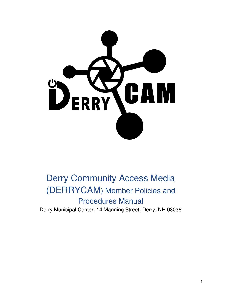

# Derry Community Access Media (DERRYCAM) Member Policies and Procedures Manual

Derry Municipal Center, 14 Manning Street, Derry, NH 03038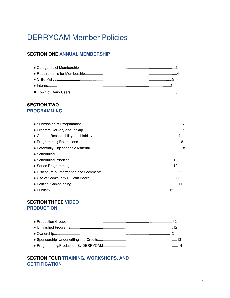## **DERRYCAM Member Policies**

### **SECTION ONE ANNUAL MEMBERSHIP**

#### **SECTION TWO PROGRAMMING**

### **SECTION THREE VIDEO PRODUCTION**

### **SECTION FOUR TRAINING, WORKSHOPS, AND CERTIFICATION**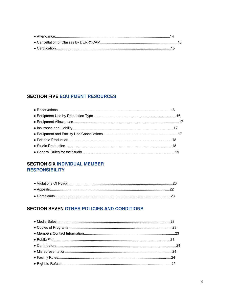### **SECTION FIVE EQUIPMENT RESOURCES**

### **SECTION SIX INDIVIDUAL MEMBER RESPONSIBILITY**

### SECTION SEVEN OTHER POLICIES AND CONDITIONS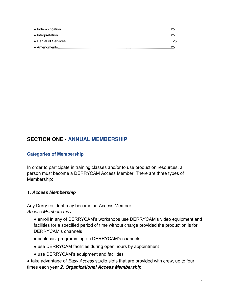### **SECTION ONE - ANNUAL MEMBERSHIP**

### **Categories of Membership**

In order to participate in training classes and/or to use production resources, a person must become a DERRYCAM Access Member. There are three types of Membership:

### *1. Access Membership*

Any Derry resident may become an Access Member. *Access Members may*:

• enroll in any of DERRYCAM's workshops use DERRYCAM's video equipment and facilities for a specified period of time without charge provided the production is for DERRYCAM's channels

- cablecast programming on DERRYCAM's channels
- use DERRYCAM facilities during open hours by appointment
- use DERRYCAM's equipment and facilities

● take advantage of *Easy Access* studio slots that are provided with crew, up to four times each year *2. Organizational Access Membership*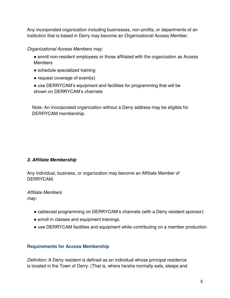Any incorporated organization including businesses, non-profits, or departments of an institution that is based in Derry may become an Organizational Access Member.

*Organizational Access Members may*:

- enroll non-resident employees or those affiliated with the organization as Access **Members**
- schedule specialized training
- request coverage of event(s)
- use DERRYCAM's equipment and facilities for programming that will be shown on DERRYCAM's channels

Note: An incorporated organization without a Derry address may be eligible for DERRYCAM membership.

### *3. Affiliate Membership*

Any individual, business, or organization may become an Affiliate Member of DERRYCAM.

*Affiliate Members may:* 

- cablecast programming on DERRYCAM's channels (with a Derry resident sponsor)
- enroll in classes and equipment trainings.
- use DERRYCAM facilities and equipment while contributing on a member production

### **Requirements for Access Membership**

*Definition:* A Derry resident is defined as an individual whose principal residence is located in the Town of Derry. (That is, where he/she normally eats, sleeps and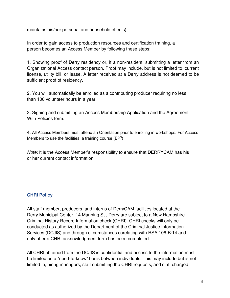maintains his/her personal and household effects)

In order to gain access to production resources and certification training, a person becomes an Access Member by following these steps:

1. Showing proof of Derry residency or, if a non-resident, submitting a letter from an Organizational Access contact person. Proof may include, but is not limited to, current license, utility bill, or lease. A letter received at a Derry address is not deemed to be sufficient proof of residency.

2. You will automatically be enrolled as a contributing producer requiring no less than 100 volunteer hours in a year

3. Signing and submitting an Access Membership Application and the Agreement With Policies form.

4. All Access Members must attend an Orientation prior to enrolling in workshops. For Access Members to use the facilities, a training course  $(EP<sup>3</sup>)$ 

*Note:* It is the Access Member's responsibility to ensure that DERRYCAM has his or her current contact information.

### **CHRI Policy**

All staff member, producers, and interns of DerryCAM facilities located at the Derry Municipal Center, 14 Manning St., Derry are subject to a New Hampshire Criminal History Record Information check (CHRI). CHRI checks will only be conducted as authorized by the Department of the Criminal Justice Information Services (DCJIS) and through circumstances corelating with RSA 106-B:14 and only after a CHRI acknowledgment form has been completed.

All CHRI obtained from the DCJIS is confidential and access to the information must be limited on a "need-to-know" basis between individuals. This may include but is not limited to, hiring managers, staff submitting the CHRI requests, and staff charged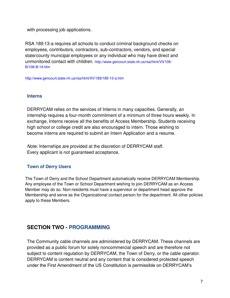with processing job applications.

RSA 189:13-a requires all schools to conduct criminal background checks on employees, contributors, contractors, sub-contractors, vendors, and special state/county municipal employees or any individual who may have direct and unmonitored contact with children. http://www.gencourt.state.nh.us/rsa/html/VII/106- B/106-B-14.htm

http://www.gencourt.state.nh.us/rsa/html/XV/189/189-13-a.htm

### **Interns**

DERRYCAM relies on the services of Interns in many capacities. Generally, an internship requires a four-month commitment of a minimum of three hours weekly. In exchange, Interns receive all the benefits of Access Membership. Students receiving high school or college credit are also encouraged to intern. Those wishing to become interns are required to submit an Intern Application and a resume.

*Note:* Internships are provided at the discretion of DERRYCAM staff. Every applicant is not guaranteed acceptance.

### **Town of Derry Users**

The Town of Derry and the School Department automatically receive DERRYCAM Membership. Any employee of the Town or School Department wishing to join DERRYCAM as an Access Member may do so. Non-residents must have a supervisor or department head approve the Membership and serve as the Organizational contact person for the department. All other policies apply to these Members.

### **SECTION TWO - PROGRAMMING**

The Community cable channels are administered by DERRYCAM. These channels are provided as a public forum for solely noncommercial speech and are therefore not subject to content regulation by DERRYCAM, the Town of Derry, or the cable operator. DERRYCAM is content neutral and any content that is considered protected speech under the First Amendment of the US Constitution is permissible on DERRYCAM's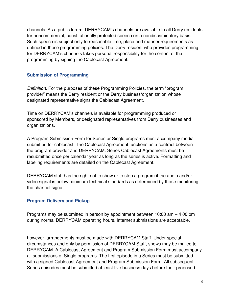channels. As a public forum, DERRYCAM's channels are available to all Derry residents for noncommercial, constitutionally protected speech on a nondiscriminatory basis. Such speech is subject only to reasonable time, place and manner requirements as defined in these programming policies. The Derry resident who provides programming for DERRYCAM's channels takes personal responsibility for the content of that programming by signing the Cablecast Agreement.

### **Submission of Programming**

*Definition:* For the purposes of these Programming Policies, the term "program provider" means the Derry resident or the Derry business/organization whose designated representative signs the Cablecast Agreement.

Time on DERRYCAM's channels is available for programming produced or sponsored by Members, or designated representatives from Derry businesses and organizations.

A Program Submission Form for Series or Single programs must accompany media submitted for cablecast. The Cablecast Agreement functions as a contract between the program provider and DERRYCAM. Series Cablecast Agreements must be resubmitted once per calendar year as long as the series is active. Formatting and labeling requirements are detailed on the Cablecast Agreement.

DERRYCAM staff has the right not to show or to stop a program if the audio and/or video signal is below minimum technical standards as determined by those monitoring the channel signal.

### **Program Delivery and Pickup**

Programs may be submitted in person by appointment between 10:00 am – 4:00 pm during normal DERRYCAM operating hours. Internet submissions are acceptable,

however, arrangements must be made with DERRYCAM Staff. Under special circumstances and only by permission of DERRYCAM Staff, shows may be mailed to DERRYCAM. A Cablecast Agreement and Program Submission Form must accompany all submissions of Single programs. The first episode in a Series must be submitted with a signed Cablecast Agreement and Program Submission Form. All subsequent Series episodes must be submitted at least five business days before their proposed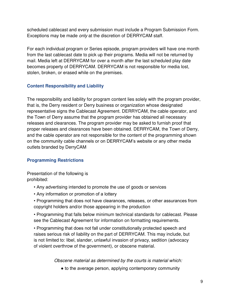scheduled cablecast and every submission must include a Program Submission Form. Exceptions may be made *only* at the discretion of DERRYCAM staff.

For each individual program or Series episode, program providers will have one month from the last cablecast date to pick up their programs. Media will not be returned by mail. Media left at DERRYCAM for over a month after the last scheduled play date becomes property of DERRYCAM. DERRYCAM is not responsible for media lost, stolen, broken, or erased while on the premises.

### **Content Responsibility and Liability**

The responsibility and liability for program content lies solely with the program provider, that is, the Derry resident or Derry business or organization whose designated representative signs the Cablecast Agreement. DERRYCAM, the cable operator, and the Town of Derry assume that the program provider has obtained all necessary releases and clearances. The program provider may be asked to furnish proof that proper releases and clearances have been obtained. DERRYCAM, the Town of Derry, and the cable operator are not responsible for the content of the programming shown on the community cable channels or on DERRYCAM's website or any other media outlets branded by DerryCAM

### **Programming Restrictions**

Presentation of the following is prohibited:

- Any advertising intended to promote the use of goods or services
- Any information or promotion of a lottery
- Programming that does not have clearances, releases, or other assurances from copyright holders and/or those appearing in the production

• Programming that falls below minimum technical standards for cablecast. Please see the Cablecast Agreement for information on formatting requirements.

• Programming that does not fall under constitutionally protected speech and raises serious risk of liability on the part of DERRYCAM. This may include, but is not limited to: libel, slander, unlawful invasion of privacy, sedition (advocacy of violent overthrow of the government), or obscene material.

*Obscene material as determined by the courts is material which:* 

• to the average person, applying contemporary community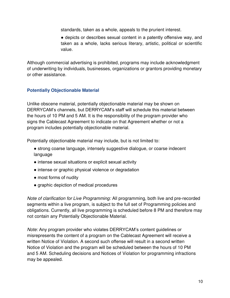standards, taken as a whole, appeals to the prurient interest.

● depicts or describes sexual content in a patently offensive way, and taken as a whole, lacks serious literary, artistic, political or scientific value.

Although commercial advertising is prohibited, programs may include acknowledgment of underwriting by individuals, businesses, organizations or grantors providing monetary or other assistance.

### **Potentially Objectionable Material**

Unlike obscene material, potentially objectionable material may be shown on DERRYCAM's channels, but DERRYCAM's staff will schedule this material between the hours of 10 PM and 5 AM. It is the responsibility of the program provider who signs the Cablecast Agreement to indicate on that Agreement whether or not a program includes potentially objectionable material.

Potentially objectionable material may include, but is not limited to:

- strong coarse language, intensely suggestive dialogue, or coarse indecent language
- intense sexual situations or explicit sexual activity
- intense or graphic physical violence or degradation
- most forms of nudity
- graphic depiction of medical procedures

*Note of clarification for Live Programming:* All programming, both live and pre-recorded segments within a live program, is subject to the full set of Programming policies and obligations. Currently, all live programming is scheduled before 8 PM and therefore may not contain any Potentially Objectionable Material.

*Note:* Any program provider who violates DERRYCAM's content guidelines or misrepresents the content of a program on the Cablecast Agreement will receive a written Notice of Violation. A second such offense will result in a second written Notice of Violation and the program will be scheduled between the hours of 10 PM and 5 AM. Scheduling decisions and Notices of Violation for programming infractions may be appealed.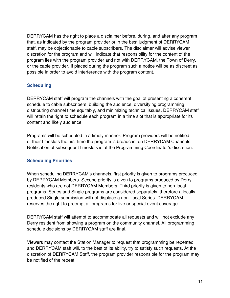DERRYCAM has the right to place a disclaimer before, during, and after any program that, as indicated by the program provider or in the best judgment of DERRYCAM staff, may be objectionable to cable subscribers. The disclaimer will advise viewer discretion for the program and will indicate that responsibility for the content of the program lies with the program provider and not with DERRYCAM, the Town of Derry, or the cable provider. If placed during the program such a notice will be as discreet as possible in order to avoid interference with the program content.

### **Scheduling**

DERRYCAM staff will program the channels with the goal of presenting a coherent schedule to cable subscribers, building the audience, diversifying programming, distributing channel time equitably, and minimizing technical issues*.* DERRYCAM staff will retain the right to schedule each program in a time slot that is appropriate for its content and likely audience.

Programs will be scheduled in a timely manner. Program providers will be notified of their timeslots the first time the program is broadcast on DERRYCAM Channels. Notification of subsequent timeslots is at the Programming Coordinator's discretion.

### **Scheduling Priorities**

When scheduling DERRYCAM's channels, first priority is given to programs produced by DERRYCAM Members. Second priority is given to programs produced by Derry residents who are not DERRYCAM Members. Third priority is given to non-local programs. Series and Single programs are considered separately; therefore a locally produced Single submission will not displace a non- local Series. DERRYCAM reserves the right to preempt all programs for live or special event coverage.

DERRYCAM staff will attempt to accommodate all requests and will not exclude any Derry resident from showing a program on the community channel. All programming schedule decisions by DERRYCAM staff are final.

Viewers may contact the Station Manager to request that programming be repeated and DERRYCAM staff will, to the best of its ability, try to satisfy such requests. At the discretion of DERRYCAM Staff, the program provider responsible for the program may be notified of the repeat.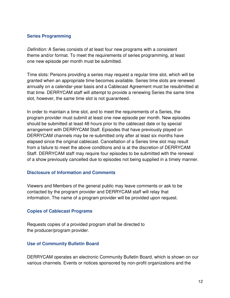### **Series Programming**

*Definition:* A Series consists of at least four new programs with a consistent theme and/or format. To meet the requirements of series programming, at least one new episode per month must be submitted.

Time slots: Persons providing a series may request a regular time slot, which will be granted when an appropriate time becomes available. Series time slots are renewed annually on a calendar-year basis and a Cablecast Agreement must be resubmitted at that time. DERRYCAM staff will attempt to provide a renewing Series the same time slot, however, the same time slot is not guaranteed.

In order to maintain a time slot, and to meet the requirements of a Series, the program provider must submit at least one new episode per month. New episodes should be submitted at least 48 hours prior to the cablecast date or by special arrangement with DERRYCAM Staff. Episodes that have previously played on DERRYCAM channels may be re-submitted only after at least six months have elapsed since the original cablecast. Cancellation of a Series time slot may result from a failure to meet the above conditions and is at the discretion of DERRYCAM Staff. DERRYCAM staff may require four episodes to be submitted with the renewal of a show previously cancelled due to episodes not being supplied in a timely manner*.* 

#### **Disclosure of Information and Comments**

Viewers and Members of the general public may leave comments or ask to be contacted by the program provider and DERRYCAM staff will relay that information. The name of a program provider will be provided upon request.

#### **Copies of Cablecast Programs**

Requests copies of a provided program shall be directed to the producer/program provider.

### **Use of Community Bulletin Board**

DERRYCAM operates an electronic Community Bulletin Board, which is shown on our various channels. Events or notices sponsored by non-profit organizations and the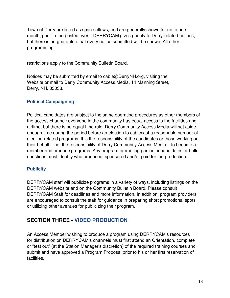Town of Derry are listed as space allows, and are generally shown for up to one month, prior to the posted event. DERRYCAM gives priority to Derry-related notices, but there is no guarantee that every notice submitted will be shown. All other programming

restrictions apply to the Community Bulletin Board.

Notices may be submitted by email to cable@DerryNH.org, visiting the Website or mail to Derry Community Access Media, 14 Manning Street, Derry, NH. 03038.

### **Political Campaigning**

Political candidates are subject to the same operating procedures as other members of the access channel: everyone in the community has equal access to the facilities and airtime, but there is no equal time rule. Derry Community Access Media will set aside enough time during the period before an election to cablecast a reasonable number of election-related programs. It is the responsibility of the candidates or those working on their behalf – not the responsibility of Derry Community Access Media – to become a member and produce programs. Any program promoting particular candidates or ballot questions must identify who produced, sponsored and/or paid for the production.

### **Publicity**

DERRYCAM staff will publicize programs in a variety of ways, including listings on the DERRYCAM website and on the Community Bulletin Board. Please consult DERRYCAM Staff for deadlines and more information. In addition, program providers are encouraged to consult the staff for guidance in preparing short promotional spots or utilizing other avenues for publicizing their program.

### **SECTION THREE - VIDEO PRODUCTION**

An Access Member wishing to produce a program using DERRYCAM's resources for distribution on DERRYCAM's channels must first attend an Orientation, complete or "test out" (at the Station Manager's discretion) of the required training courses and submit and have approved a Program Proposal prior to his or her first reservation of facilities.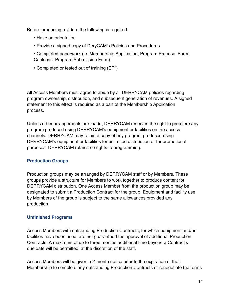Before producing a video, the following is required:

- Have an orientation
- Provide a signed copy of DeryCAM's Policies and Procedures
- Completed paperwork (ie. Membership Application, Program Proposal Form, Cablecast Program Submission Form)
- Completed or tested out of training ( $EP<sup>3</sup>$ )

All Access Members must agree to abide by all DERRYCAM policies regarding program ownership, distribution, and subsequent generation of revenues. A signed statement to this effect is required as a part of the Membership Application process.

Unless other arrangements are made, DERRYCAM reserves the right to premiere any program produced using DERRYCAM's equipment or facilities on the access channels. DERRYCAM may retain a copy of any program produced using DERRYCAM's equipment or facilities for unlimited distribution or for promotional purposes. DERRYCAM retains no rights to programming.

### **Production Groups**

Production groups may be arranged by DERRYCAM staff or by Members. These groups provide a structure for Members to work together to produce content for DERRYCAM distribution. One Access Member from the production group may be designated to submit a Production Contract for the group. Equipment and facility use by Members of the group is subject to the same allowances provided any production.

### **Unfinished Programs**

Access Members with outstanding Production Contracts, for which equipment and/or facilities have been used, are not guaranteed the approval of additional Production Contracts. A maximum of up to three months additional time beyond a Contract's due date will be permitted, at the discretion of the staff.

Access Members will be given a 2-month notice prior to the expiration of their Membership to complete any outstanding Production Contracts or renegotiate the terms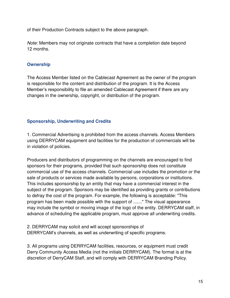of their Production Contracts subject to the above paragraph.

*Note:* Members may not originate contracts that have a completion date beyond 12 months.

### **Ownership**

The Access Member listed on the Cablecast Agreement as the owner of the program is responsible for the content and distribution of the program. It is the Access Member's responsibility to file an amended Cablecast Agreement if there are any changes in the ownership, copyright, or distribution of the program.

### **Sponsorship, Underwriting and Credits**

1. Commercial Advertising is prohibited from the access channels. Access Members using DERRYCAM equipment and facilities for the production of commercials will be in violation of policies.

Producers and distributors of programming on the channels are encouraged to find sponsors for their programs, provided that such sponsorship does not constitute commercial use of the access channels. Commercial use includes the promotion or the sale of products or services made available by persons, corporations or institutions. This includes sponsorship by an entity that may have a commercial interest in the subject of the program. Sponsors may be identified as providing grants or contributions to defray the cost of the program. For example, the following is acceptable: "This program has been made possible with the support of ......." The visual appearance may include the symbol or moving image of the logo of the entity. DERRYCAM staff, in advance of scheduling the applicable program, must approve all underwriting credits.

2. DERRYCAM may solicit and will accept sponsorships of DERRYCAM's channels, as well as underwriting of specific programs.

3. All programs using DERRYCAM facilities, resources, or equipment must credit Derry Community Access Media (not the initials DERRYCAM). The format is at the discretion of DerryCAM Staff, and will comply with DERRYCAM Branding Policy.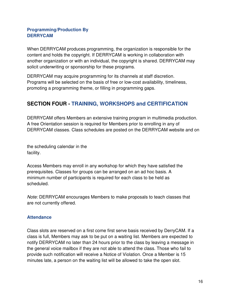### **Programming/Production By DERRYCAM**

When DERRYCAM produces programming, the organization is responsible for the content and holds the copyright. If DERRYCAM is working in collaboration with another organization or with an individual, the copyright is shared. DERRYCAM may solicit underwriting or sponsorship for these programs.

DERRYCAM may acquire programming for its channels at staff discretion. Programs will be selected on the basis of free or low-cost availability, timeliness, promoting a programming theme, or filling in programming gaps.

### **SECTION FOUR - TRAINING, WORKSHOPS and CERTIFICATION**

DERRYCAM offers Members an extensive training program in multimedia production. A free Orientation session is required for Members prior to enrolling in any of DERRYCAM classes. Class schedules are posted on the DERRYCAM website and on

the scheduling calendar in the facility.

Access Members may enroll in any workshop for which they have satisfied the prerequisites. Classes for groups can be arranged on an ad hoc basis. A minimum number of participants is required for each class to be held as scheduled.

*Note:* DERRYCAM encourages Members to make proposals to teach classes that are not currently offered.

### **Attendance**

Class slots are reserved on a first come first serve basis received by DerryCAM. If a class is full, Members may ask to be put on a waiting list. Members are expected to notify DERRYCAM no later than 24 hours prior to the class by leaving a message in the general voice mailbox if they are not able to attend the class. Those who fail to provide such notification will receive a Notice of Violation. Once a Member is 15 minutes late, a person on the waiting list will be allowed to take the open slot.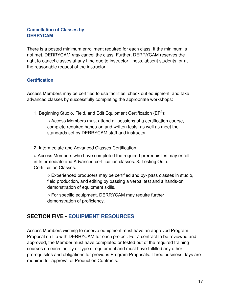### **Cancellation of Classes by DERRYCAM**

There is a posted minimum enrollment required for each class. If the minimum is not met, DERRYCAM *may* cancel the class. Further, DERRYCAM reserves the right to cancel classes at any time due to instructor illness, absent students, or at the reasonable request of the instructor.

### **Certification**

Access Members may be certified to use facilities, check out equipment, and take advanced classes by successfully completing the appropriate workshops:

1. Beginning Studio, Field, and Edit Equipment Certification (EP<sup>3</sup>):

○ Access Members must attend all sessions of a certification course, complete required hands-on and written tests, as well as meet the standards set by DERRYCAM staff and instructor.

2. Intermediate and Advanced Classes Certification:

○ Access Members who have completed the required prerequisites may enroll in Intermediate and Advanced certification classes. 3. Testing Out of Certification Classes:

○ Experienced producers may be certified and by- pass classes in studio, field production, and editing by passing a verbal test and a hands-on demonstration of equipment skills.

○ For specific equipment, DERRYCAM may require further demonstration of proficiency.

### **SECTION FIVE - EQUIPMENT RESOURCES**

Access Members wishing to reserve equipment must have an approved Program Proposal on file with DERRYCAM for each project. For a contract to be reviewed and approved, the Member must have completed or tested out of the required training courses on each facility or type of equipment and must have fulfilled any other prerequisites and obligations for previous Program Proposals. Three business days are required for approval of Production Contracts.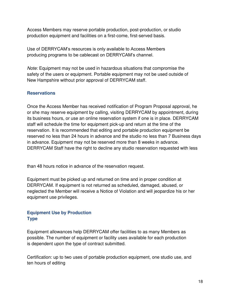Access Members may reserve portable production, post-production, or studio production equipment and facilities on a first-come, first-served basis.

Use of DERRYCAM's resources is only available to Access Members producing programs to be cablecast on DERRYCAM's channel.

*Note:* Equipment may not be used in hazardous situations that compromise the safety of the users or equipment. Portable equipment may not be used outside of New Hampshire without prior approval of DERRYCAM staff.

### **Reservations**

Once the Access Member has received notification of Program Proposal approval, he or she may reserve equipment by calling, visiting DERRYCAM by appointment, during its business hours, or use an online reservation system if one is in place. DERRYCAM staff will schedule the time for equipment pick-up and return at the time of the reservation. It is recommended that editing and portable production equipment be reserved no less than 24 hours in advance and the studio no less than 7 Business days in advance. Equipment may not be reserved more than 8 weeks in advance. DERRYCAM Staff have the right to decline any studio reservation requested with less

than 48 hours notice in advance of the reservation request.

Equipment must be picked up and returned on time and in proper condition at DERRYCAM. If equipment is not returned as scheduled, damaged, abused, or neglected the Member will receive a Notice of Violation and will jeopardize his or her equipment use privileges.

### **Equipment Use by Production Type**

Equipment allowances help DERRYCAM offer facilities to as many Members as possible. The number of equipment or facility uses available for each production is dependent upon the type of contract submitted.

Certification: up to two uses of portable production equipment, one studio use, and ten hours of editing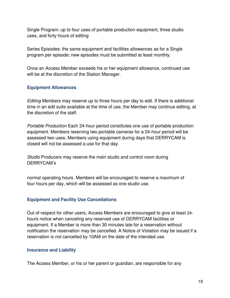Single Program: up to four uses of portable production equipment, three studio uses, and forty hours of editing

Series Episodes: the same equipment and facilities allowances as for a Single program per episode; new episodes must be submitted at least monthly.

Once an Access Member exceeds his or her equipment allowance, continued use will be at the discretion of the Station Manager.

### **Equipment Allowances**

*Editing* Members may reserve up to three hours per day to edit. If there is additional time in an edit suite available at the time of use, the Member may continue editing, at the discretion of the staff.

*Portable Production* Each 24-hour period constitutes one use of portable production equipment. Members reserving two portable cameras for a 24-hour period will be assessed two uses. Members using equipment during days that DERRYCAM is closed will not be assessed a use for that day.

*Studio* Producers may reserve the main studio and control room during DERRYCAM's

normal operating hours. Members will be encouraged to reserve a maximum of four hours per day, which will be assessed as one studio use.

### **Equipment and Facility Use Cancellations**

Out of respect for other users, Access Members are encouraged to give at least 24 hours notice when canceling any reserved use of DERRYCAM facilities or equipment. If a Member is more than 30 minutes late for a reservation without notification the reservation may be cancelled. A Notice of Violation may be issued if a reservation is not cancelled by 10AM on the date of the intended use.

### **Insurance and Liability**

The Access Member, or his or her parent or guardian, are responsible for any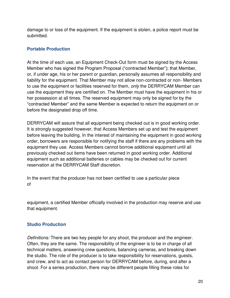damage to or loss of the equipment. If the equipment is stolen, a police report must be submitted.

### **Portable Production**

At the time of each use, an Equipment Check-Out form must be signed by the Access Member who has signed the Program Proposal ("contracted Member"); that Member, or, if under age, his or her parent or guardian, personally assumes all responsibility and liability for the equipment. That Member may not allow non-contracted or non- Members to use the equipment or facilities reserved for them, *only* the DERRYCAM Member can use the equipment they are certified on. The Member must have the equipment in his or her possession at all times. The reserved equipment may only be signed for by the "contracted Member" and the same Member is expected to return the equipment on or before the designated drop off time.

DERRYCAM will assure that all equipment being checked out is in good working order. It is strongly suggested however, that Access Members set up and test the equipment before leaving the building. In the interest of maintaining the equipment in good working order, borrowers are responsible for notifying the staff if there are any problems with the equipment they use. Access Members cannot borrow additional equipment until all previously checked out items have been returned in good working order. Additional equipment such as additional batteries or cables may be checked out for current reservation at the DERRYCAM Staff discretion.

In the event that the producer has not been certified to use a particular piece of

equipment, a certified Member officially involved in the production may reserve and use that equipment.

### **Studio Production**

*Definitions:* There are two key people for any shoot, the producer and the engineer. Often, they are the same. The responsibility of the engineer is to be in charge of all technical matters, answering crew questions, balancing cameras, and breaking down the studio. The role of the producer is to take responsibility for reservations, guests, and crew, and to act as contact person for DERRYCAM before, during, and after a shoot. For a series production, there *may* be different people filling these roles for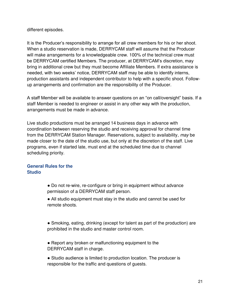different episodes.

It is the Producer's responsibility to arrange for all crew members for his or her shoot. When a studio reservation is made, DERRYCAM staff will assume that the Producer will make arrangements for a knowledgeable crew. 100% of the technical crew must be DERRYCAM certified Members. The producer, at DERRYCAM's discretion, may bring in additional crew but they must become Affiliate Members. If extra assistance is needed, with two weeks' notice, DERRYCAM staff may be able to identify interns, production assistants and independent contributor to help with a specific shoot. Followup arrangements and confirmation are the responsibility of the Producer.

A staff Member will be available to answer questions on an "on call/oversight" basis. If a staff Member is needed to engineer or assist in any other way with the production, arrangements must be made in advance.

Live studio productions must be arranged 14 business days in advance with coordination between reserving the studio and receiving approval for channel time from the DERRYCAM Station Manager. Reservations, subject to availability*, may* be made closer to the date of the studio use, but only at the discretion of the staff. Live programs, even if started late, must end at the scheduled time due to channel scheduling priority.

### **General Rules for the Studio**

- Do not re-wire, re-configure or bring in equipment without advance permission of a DERRYCAM staff person.
- All studio equipment must stay in the studio and cannot be used for remote shoots.
- Smoking, eating, drinking (except for talent as part of the production) are prohibited in the studio and master control room.
- Report any broken or malfunctioning equipment to the DERRYCAM staff in charge.
- Studio audience is limited to production location. The producer is responsible for the traffic and questions of guests.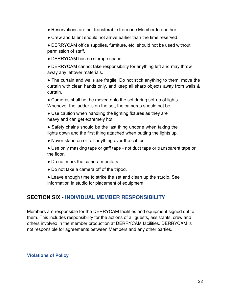- Reservations are not transferable from one Member to another.
- Crew and talent should not arrive earlier than the time reserved.

● DERRYCAM office supplies, furniture, etc, should not be used without permission of staff.

• DERRYCAM has no storage space.

• DERRYCAM cannot take responsibility for anything left and may throw away any leftover materials.

• The curtain and walls are fragile. Do not stick anything to them, move the curtain with clean hands only, and keep all sharp objects away from walls & curtain.

• Cameras shall not be moved onto the set during set-up of lights. Whenever the ladder is on the set, the cameras should not be.

• Use caution when handling the lighting fixtures as they are heavy and can get extremely hot.

• Safety chains should be the last thing undone when taking the lights down and the first thing attached when putting the lights up.

• Never stand on or roll anything over the cables.

• Use only masking tape or gaff tape - not duct tape or transparent tape on the floor.

- Do not mark the camera monitors.
- Do not take a camera off of the tripod.

• Leave enough time to strike the set and clean up the studio. See information in studio for placement of equipment.

### **SECTION SIX - INDIVIDUAL MEMBER RESPONSIBILITY**

Members are responsible for the DERRYCAM facilities and equipment signed out to them. This includes responsibility for the actions of all guests, assistants, crew and others involved in the member production at DERRYCAM facilities. DERRYCAM is not responsible for agreements between Members and any other parties.

### **Violations of Policy**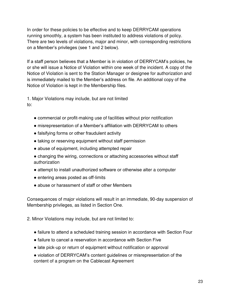In order for these policies to be effective and to keep DERRYCAM operations running smoothly, a system has been instituted to address violations of policy. There are two levels of violations, major and minor, with corresponding restrictions on a Member's privileges (see 1 and 2 below).

If a staff person believes that a Member is in violation of DERRYCAM's policies, he or she will issue a Notice of Violation within one week of the incident. A copy of the Notice of Violation is sent to the Station Manager or designee for authorization and is immediately mailed to the Member's address on file. An additional copy of the Notice of Violation is kept in the Membership files.

1. Major Violations may include, but are not limited to:

- commercial or profit-making use of facilities without prior notification
- misrepresentation of a Member's affiliation with DERRYCAM to others
- falsifying forms or other fraudulent activity
- taking or reserving equipment without staff permission
- abuse of equipment, including attempted repair
- changing the wiring, connections or attaching accessories without staff authorization
- attempt to install unauthorized software or otherwise alter a computer
- entering areas posted as off-limits
- abuse or harassment of staff or other Members

Consequences of major violations will result in an immediate, 90-day suspension of Membership privileges, as listed in Section One.

- 2. Minor Violations may include, but are not limited to:
	- failure to attend a scheduled training session in accordance with Section Four
	- failure to cancel a reservation in accordance with Section Five
	- late pick-up or return of equipment without notification or approval
	- violation of DERRYCAM's content guidelines or misrepresentation of the content of a program on the Cablecast Agreement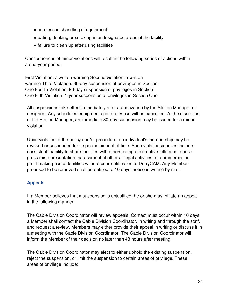- careless mishandling of equipment
- eating, drinking or smoking in undesignated areas of the facility
- failure to clean up after using facilities

Consequences of minor violations will result in the following series of actions within a one-year period:

First Violation: a written warning Second violation: a written warning Third Violation: 30-day suspension of privileges in Section One Fourth Violation: 90-day suspension of privileges in Section One Fifth Violation: 1-year suspension of privileges in Section One

All suspensions take effect immediately after authorization by the Station Manager or designee. Any scheduled equipment and facility use will be cancelled. At the discretion of the Station Manager, an immediate 30-day suspension may be issued for a minor violation.

Upon violation of the policy and/or procedure, an individual's membership may be revoked or suspended for a specific amount of time. Such violations/causes include: consistent inability to share facilities with others being a disruptive influence, abuse gross misrepresentation, harassment of others, illegal activities, or commercial or profit-making use of facilities without prior notification to DerryCAM. Any Member proposed to be removed shall be entitled to 10 days' notice in writing by mail.

### **Appeals**

If a Member believes that a suspension is unjustified, he or she may initiate an appeal in the following manner:

The Cable Division Coordinator will review appeals. Contact must occur within 10 days, a Member shall contact the Cable Division Coordinator, in writing and through the staff, and request a review. Members may either provide their appeal in writing or discuss it in a meeting with the Cable Division Coordinator. The Cable Division Coordinator will inform the Member of their decision no later than 48 hours after meeting.

The Cable Division Coordinator may elect to either uphold the existing suspension, reject the suspension, or limit the suspension to certain areas of privilege. These areas of privilege include: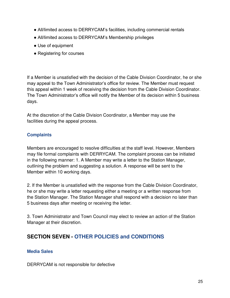- All/limited access to DERRYCAM's facilities, including commercial rentals
- All/limited access to DERRYCAM's Membership privileges
- Use of equipment
- Registering for courses

If a Member is unsatisfied with the decision of the Cable Division Coordinator, he or she may appeal to the Town Administrator's office for review. The Member must request this appeal within 1 week of receiving the decision from the Cable Division Coordinator. The Town Administrator's office will notify the Member of its decision within 5 business days.

At the discretion of the Cable Division Coordinator, a Member may use the facilities during the appeal process.

### **Complaints**

Members are encouraged to resolve difficulties at the staff level. However, Members may file formal complaints with DERRYCAM. The complaint process can be initiated in the following manner: 1. A Member may write a letter to the Station Manager, outlining the problem and suggesting a solution. A response will be sent to the Member within 10 working days.

2. If the Member is unsatisfied with the response from the Cable Division Coordinator, he or she may write a letter requesting either a meeting or a written response from the Station Manager. The Station Manager shall respond with a decision no later than 5 business days after meeting or receiving the letter.

3. Town Administrator and Town Council may elect to review an action of the Station Manager at their discretion.

### **SECTION SEVEN - OTHER POLICIES and CONDITIONS**

### **Media Sales**

DERRYCAM is not responsible for defective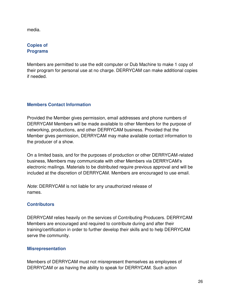media.

### **Copies of Programs**

Members are permitted to use the edit computer or Dub Machine to make 1 copy of their program for personal use at no charge. DERRYCAM can make additional copies if needed.

### **Members Contact Information**

Provided the Member gives permission, email addresses and phone numbers of DERRYCAM Members will be made available to other Members for the purpose of networking, productions, and other DERRYCAM business. Provided that the Member gives permission, DERRYCAM may make available contact information to the producer of a show.

On a limited basis, and for the purposes of production or other DERRYCAM-related business, Members may communicate with other Members via DERRYCAM's electronic mailings. Materials to be distributed require previous approval and will be included at the discretion of DERRYCAM. Members are encouraged to use email.

*Note:* DERRYCAM is not liable for any unauthorized release of names.

### **Contributors**

DERRYCAM relies heavily on the services of Contributing Producers. DERRYCAM Members are encouraged and required to contribute during and after their training/certification in order to further develop their skills and to help DERRYCAM serve the community.

### **Misrepresentation**

Members of DERRYCAM must not misrepresent themselves as employees of DERRYCAM or as having the ability to speak for DERRYCAM. Such action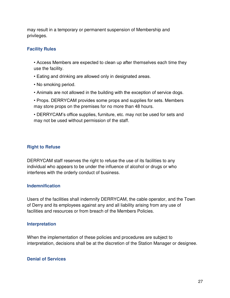may result in a temporary or permanent suspension of Membership and privileges.

### **Facility Rules**

- Access Members are expected to clean up after themselves each time they use the facility.
- Eating and drinking are allowed only in designated areas.
- No smoking period.
- Animals are not allowed in the building with the exception of service dogs.
- Props. DERRYCAM provides some props and supplies for sets. Members may store props on the premises for no more than 48 hours.
- DERRYCAM's office supplies, furniture, etc. may not be used for sets and may not be used without permission of the staff.

### **Right to Refuse**

DERRYCAM staff reserves the right to refuse the use of its facilities to any individual who appears to be under the influence of alcohol or drugs or who interferes with the orderly conduct of business.

### **Indemnification**

Users of the facilities shall indemnify DERRYCAM, the cable operator, and the Town of Derry and its employees against any and all liability arising from any use of facilities and resources or from breach of the Members Policies.

### **Interpretation**

When the implementation of these policies and procedures are subject to interpretation, decisions shall be at the discretion of the Station Manager or designee.

### **Denial of Services**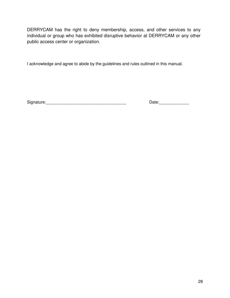DERRYCAM has the right to deny membership, access, and other services to any individual or group who has exhibited disruptive behavior at DERRYCAM or any other public access center or organization.

I acknowledge and agree to abide by the guidelines and rules outlined in this manual.

Signature:\_\_\_\_\_\_\_\_\_\_\_\_\_\_\_\_\_\_\_\_\_\_\_\_\_\_\_\_\_\_\_\_\_\_\_ Date:\_\_\_\_\_\_\_\_\_\_\_\_\_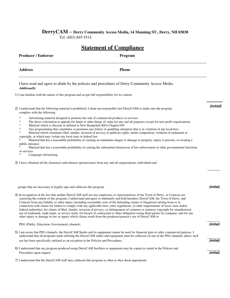### **DerryCAM – Derry Community Access Media, 14 Manning ST., Derry, NH 03038**

Tel: (603) 845-5514

### **Statement of Compliance**

| <b>Producer / Endorser</b>                                                                                                                                                                                                                                                                                                     | Program                                                                                                                                                                                                                                                                                                                                                                                                                                                                                                                                                                                                                                                                                                                                                                                                                                      |           |
|--------------------------------------------------------------------------------------------------------------------------------------------------------------------------------------------------------------------------------------------------------------------------------------------------------------------------------|----------------------------------------------------------------------------------------------------------------------------------------------------------------------------------------------------------------------------------------------------------------------------------------------------------------------------------------------------------------------------------------------------------------------------------------------------------------------------------------------------------------------------------------------------------------------------------------------------------------------------------------------------------------------------------------------------------------------------------------------------------------------------------------------------------------------------------------------|-----------|
| <b>Address</b>                                                                                                                                                                                                                                                                                                                 | <b>Phone</b>                                                                                                                                                                                                                                                                                                                                                                                                                                                                                                                                                                                                                                                                                                                                                                                                                                 |           |
| Additionally:                                                                                                                                                                                                                                                                                                                  | I have read and agree to abide by the policies and procedures of Derry Community Access Media.                                                                                                                                                                                                                                                                                                                                                                                                                                                                                                                                                                                                                                                                                                                                               |           |
| 1) I am familiar with the nature of this program and accept full responsibility for its content.                                                                                                                                                                                                                               |                                                                                                                                                                                                                                                                                                                                                                                                                                                                                                                                                                                                                                                                                                                                                                                                                                              |           |
| complies with the following:                                                                                                                                                                                                                                                                                                   | 2) I understand that the following material is prohibited, I alone am responsible (not DerryCAM) to make sure the program                                                                                                                                                                                                                                                                                                                                                                                                                                                                                                                                                                                                                                                                                                                    | (Initial) |
| ∗<br>Advertising material designed to promote the sale of commercial products or services<br>∗<br>∗<br>Material which is obscene as defined in New Hampshire RSA Chapter 650<br>∗<br>$\ast$<br>copyright, or which may violate any local state or federal law.<br>public nuisance<br>or services.<br>∗<br>Campaign Advertising | The direct solicitation or appeals for funds or other things of value for any and all purposes except for non-profit organizations.<br>Any programming that constitutes or promotes any lottery or gambling enterprise that is in violation of any local laws<br>Material which constitutes libel, slander, invasion of privacy or publicity rights, unfair competition, violation of trademark or<br>Material that has a reasonable probability of creating an immediate danger or damage to property, injury to persons, or creating a<br>Material that has a reasonable probability of causing the substantial obstruction of law enforcement or other governmental functions                                                                                                                                                             |           |
| 3) I have obtained all the clearances and releases (permissions) from any and all organizations, individuals and                                                                                                                                                                                                               |                                                                                                                                                                                                                                                                                                                                                                                                                                                                                                                                                                                                                                                                                                                                                                                                                                              |           |
| groups that are necessary to legally tape and cablecast this program.                                                                                                                                                                                                                                                          |                                                                                                                                                                                                                                                                                                                                                                                                                                                                                                                                                                                                                                                                                                                                                                                                                                              | (Initial) |
| other injury or damage in law or equity which claims result from the producer/sponsor's use of DerryCAM or                                                                                                                                                                                                                     | 4) In recognition of the fact that neither DerryCAM staff nor any employees or representatives of the Town of Derry, or Comcast are<br>censoring the content of this program, I understand and agree to indemnify and hold harmless DerryCAM, the Town of Derry, and<br>Comcast from any liability or other injury (including reasonable costs of the defending claims or litigations) arising from or in<br>connection with claims for failure to comply with any applicable laws, rules regulations, or other requirements of local, state and/or<br>federal authorities; for claims of libel, slander, invasion of privacy, or infringement of common or statutory copyright for unauthorized<br>use of trademark, trade name, or service mark; for breach of contractual or other obligation owing third parties by company; and for any |           |
| PEG (Public, Education, Government) channels.                                                                                                                                                                                                                                                                                  |                                                                                                                                                                                                                                                                                                                                                                                                                                                                                                                                                                                                                                                                                                                                                                                                                                              | (Initial) |
|                                                                                                                                                                                                                                                                                                                                | 5) I am aware that PEG channels, the DerryCAM Studio and its equipment cannot be used for financial gain or other commercial purpose. I<br>understand that all programs made utilizing the DerryCAM studio and equipment must be cablecast on one of the PEG channels unless such                                                                                                                                                                                                                                                                                                                                                                                                                                                                                                                                                            |           |
| use has been specifically outlined as an exception in the Policies and Procedures.                                                                                                                                                                                                                                             |                                                                                                                                                                                                                                                                                                                                                                                                                                                                                                                                                                                                                                                                                                                                                                                                                                              | (Initial) |
| Procedures upon request.                                                                                                                                                                                                                                                                                                       | 6) I understand that any program produced using DerryCAM facilities or equipment may be copied as stated in the Policies and                                                                                                                                                                                                                                                                                                                                                                                                                                                                                                                                                                                                                                                                                                                 | (Initial) |
| 7) I understand that the DerryCAM staff may cablecast this program as often as they deem appropriate.                                                                                                                                                                                                                          |                                                                                                                                                                                                                                                                                                                                                                                                                                                                                                                                                                                                                                                                                                                                                                                                                                              |           |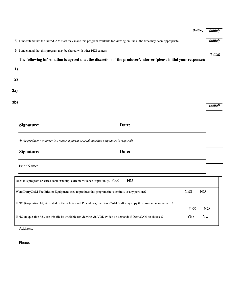|                | (Initial)                                                                                                                                                                                    | (Initial) |
|----------------|----------------------------------------------------------------------------------------------------------------------------------------------------------------------------------------------|-----------|
|                | 8) I understand that the DerryCAM staff may make this program available for viewing on line at the time they deem appropriate.                                                               | (Initial) |
|                | 9) I understand that this program may be shared with other PEG centers.<br>The following information is agreed to at the discretion of the producer/endorser (please initial your response): | (Initial) |
| 1)             |                                                                                                                                                                                              |           |
| 2)             |                                                                                                                                                                                              |           |
| 3a)            |                                                                                                                                                                                              |           |
| 3 <sub>b</sub> |                                                                                                                                                                                              | (Initial) |
|                | <b>Signature:</b><br>Date:                                                                                                                                                                   |           |
|                | (If the producer / endorser is a minor, a parent or legal guardian's signature is required)                                                                                                  |           |
|                | <b>Signature:</b><br>Date:                                                                                                                                                                   |           |
|                | Print Name:                                                                                                                                                                                  |           |
|                | <b>NO</b><br>Does this program or series contain nudity, extreme violence or profanity? YES                                                                                                  |           |
|                | <b>YES</b><br><b>NO</b><br>Were DerryCAM Facilities or Equipment used to produce this program (in its entirety or any portion)?                                                              |           |
|                | If NO (to question #2) As stated in the Policies and Procedures, the DerryCAM Staff may copy this program upon request?                                                                      |           |
|                | <b>YES</b>                                                                                                                                                                                   | <b>NO</b> |

Phone: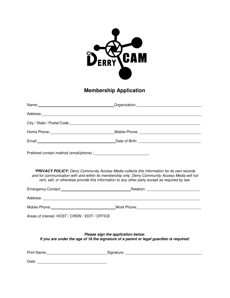

**Membership Application** 

| Address: Address: Address: Address: Address: Address: Address: Address: Address: Address: Address: Address: Address: Address: Address: Address: Address: Address: Address: Address: Address: Address: Address: Address: Addres |                                                                                                                                                                                                                                                                                                    |  |
|--------------------------------------------------------------------------------------------------------------------------------------------------------------------------------------------------------------------------------|----------------------------------------------------------------------------------------------------------------------------------------------------------------------------------------------------------------------------------------------------------------------------------------------------|--|
|                                                                                                                                                                                                                                |                                                                                                                                                                                                                                                                                                    |  |
|                                                                                                                                                                                                                                |                                                                                                                                                                                                                                                                                                    |  |
|                                                                                                                                                                                                                                |                                                                                                                                                                                                                                                                                                    |  |
|                                                                                                                                                                                                                                |                                                                                                                                                                                                                                                                                                    |  |
|                                                                                                                                                                                                                                | *PRIVACY POLICY: Derry Community Access Media collects this information for its own records<br>and for communication with and within its membership only. Derry Community Access Media will not<br>rent, sell, or otherwise provide this information to any other party except as required by law. |  |
|                                                                                                                                                                                                                                |                                                                                                                                                                                                                                                                                                    |  |
|                                                                                                                                                                                                                                |                                                                                                                                                                                                                                                                                                    |  |
|                                                                                                                                                                                                                                |                                                                                                                                                                                                                                                                                                    |  |
| Areas of interest: HOST / CREW / EDIT / OFFICE                                                                                                                                                                                 |                                                                                                                                                                                                                                                                                                    |  |
| Please sign the application below.<br>If you are under the age of 18 the signature of a parent or legal guardian is required:                                                                                                  |                                                                                                                                                                                                                                                                                                    |  |
|                                                                                                                                                                                                                                |                                                                                                                                                                                                                                                                                                    |  |
|                                                                                                                                                                                                                                |                                                                                                                                                                                                                                                                                                    |  |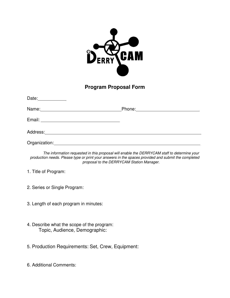

**Program Proposal Form** 

| Date:_____________ |  |
|--------------------|--|
|                    |  |
|                    |  |
|                    |  |
| Organization:      |  |

*The information requested in this proposal will enable the DERRYCAM staff to determine your production needs. Please type or print your answers in the spaces provided and submit the completed proposal to the DERRYCAM Station Manager.* 

- 1. Title of Program:
- 2. Series or Single Program:
- 3. Length of each program in minutes:
- 4. Describe what the scope of the program: Topic, Audience, Demographic:
- 5. Production Requirements: Set, Crew, Equipment:
- 6. Additional Comments: